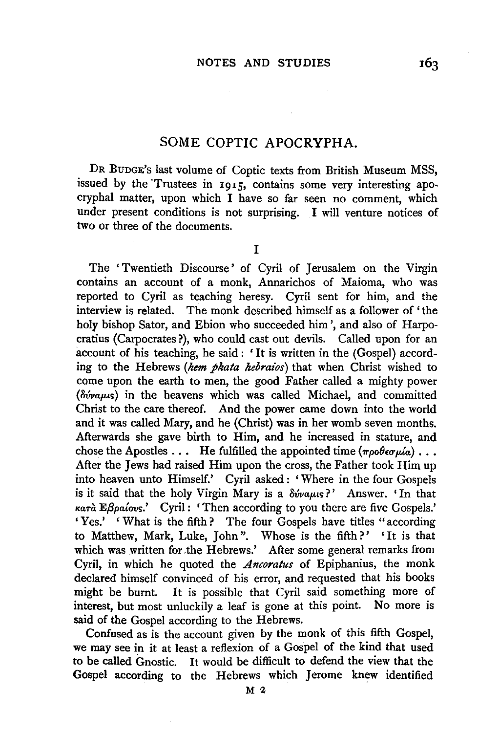## SOME COPTIC APOCRYPHA.

DR BUDGE's last volume of Coptic texts from British Museum MSS, issued by the 'Trustees in 1915, contains some very interesting apocryphal matter, upon which I have so far seen no comment, which under present conditions is not surprising. I will venture notices of two or three of the documents.

I

The 'Twentieth Discourse' of Cyril of Jerusalem on the Virgin contains an account of a monk, Annarichos of Maioma, who was reported to Cyril as teaching heresy. Cyril sent for him, and the interview is related. The monk described himself as a follower of 'the holy bishop Sator, and Ebion who succeeded him', and also of Harpocratius (Carpocrates ?), who could cast out devils. Called upon for an account of his teaching, he said: 'It is written in the (Gospel) according to the Hebrews *(hem pkata hebraios)* that when Christ wished to come upon the earth to men, the good Father called a mighty power *(* $\delta \hat{v}$ *vaµus)* in the heavens which was called Michael, and committed Christ to the care thereof. And the power came down into the world and it was called Mary, and he (Christ) was in her womb seven months. Afterwards she gave birth to Him, and he increased in stature, and chose the Apostles  $\dots$  He fulfilled the appointed time  $(\pi \rho \circ \theta \epsilon \sigma \mu \dot{\alpha}) \dots$ After the Jews had raised Him upon the cross, the Father took Him up into heaven unto Himself.' Cyril asked: 'Where in the four Gospels is it said that the holy Virgin Mary is a  $\delta \acute{\nu}$ va $\mu$ s?' Answer. 'In that *KaTa Ef3pa{ovt;;.'* Cyril : 'Then according to you there are five Gospels.' 'Yes.' ' What is the fifth? The four Gospels have titles "according to Matthew, Mark, Luke, John". Whose is the fifth?' 'It is that which was written for the Hebrews.' After some general remarks from Cyril, in which he quoted the *Ancoratus* of Epiphanius, the monk declared himself convinced of his error, and requested that his books might be burnt. It is possible that Cyril said something more of interest, but most unluckily a leaf is gone at this point. No more is said of the Gospel according to the Hebrews.

Confused as is the account given by the monk of this fifth Gospel, we may see in it at least a refiexion of a Gospel of the kind that used to be called Gnostic. It would be difficult to defend the view that the Gospel according to the Hebrews which Jerome knew identified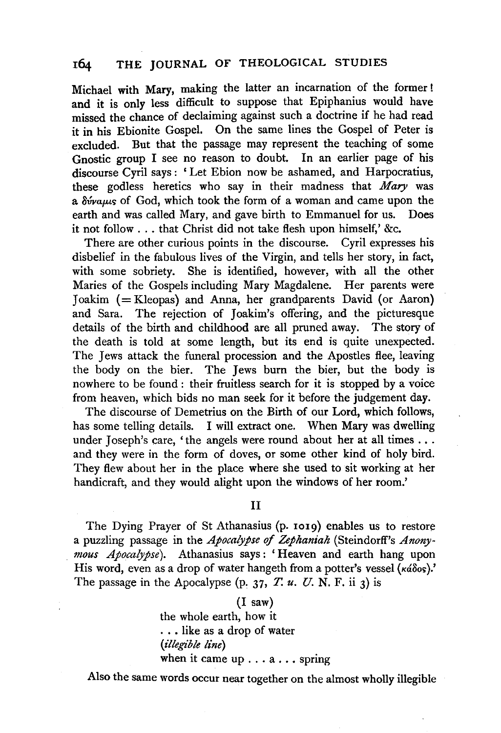## 164 THE JOURNAL OF THEOLOGICAL STUDIES

Michael with Mary, making the latter an incarnation of the former ! and it is only less difficult to suppose that Epiphanius would have missed the chance of declaiming against such a doctrine if he had read it in his Ebionite Gospel. On the same lines the Gospel of Peter is excluded. But that the passage may represent the teaching of some Gnostic group I see no reason to doubt. In an earlier page of his discourse Cyril says : 'Let Ebion now be ashamed, and Harpocratius, these godless heretics who say in their madness that *Mary* was a  $\delta v$ vaus of God, which took the form of a woman and came upon the earth and was called Mary, and gave birth to Emmanuel for us. Does it not follow ... that Christ did not take flesh upon himself,' &c.

There are other curious points in the discourse. Cyril expresses his disbelief in the fabulous lives of the Virgin, and tells her story, in fact, with some sobriety. She is identified, however, with all the other Maries of the Gospels including Mary Magdalene. Her parents were Joakim (=Kleopas) and Anna, her grandparents David (or Aaron) and Sara. The rejection of Joakim's offering, and the picturesque details of the birth and childhood are all pruned away. The story of the death is told at some length, but its end is quite unexpected. The Jews attack the funeral procession and the Apostles flee, leaving the body on the bier. The Jews burn the bier, but the body is nowhere to be found : their fruitless search for it is stopped by a voice from heaven, which bids no man seek for it before the judgement day.

The discourse of Demetrius on the Birth of our Lord, which follows, has some telling details. I will extract one. When Mary was dwelling under Joseph's care, 'the angels were round about her at all times  $\dots$ and they were in the form of doves, or some other kind of holy bird. They flew about her in the place where she used to sit working at her handicraft, and they would alight upon the windows of her room.'

### II

The Dying Prayer of St Athanasius (p. 1019) enables us to restore a puzzling passage in the *Apocalypse* of *Zephaniah* (Steindorff's *Anonymous Apocalypse).* Athanasius says: 'Heaven and earth hang upon His word, even as a drop of water hangeth from a potter's vessel  $(\kappa \hat{\omega} \delta \circ s)$ .' The passage in the Apocalypse (p. 37, *T. u. U. N. F.* ii 3) is

## (I saw)

the whole earth, how it ... like as a drop of water *(illegible line)*  when it came up ... a ... spring

Also the same words occur near together on the almost wholly illegible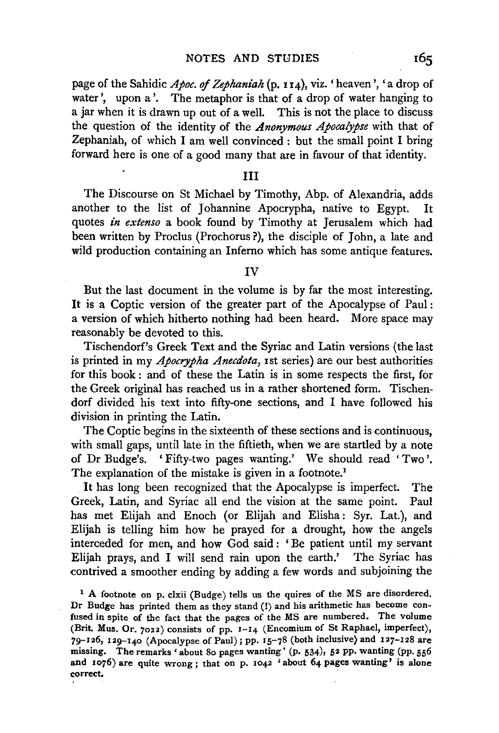page of the Sahidic *Apoc.* of *Zephaniah* (p. I 14), viz. 'heaven', 'a drop of water', upon a'. The metaphor is that of a drop of water hanging to a jar when it is drawn up out of a well. This is not the place to discuss the question of the identity of the *Anonymous Apocalypse* with that of Zephaniah, of which I am well convinced : but the small point I bring forward here is one of a good many that are in favour of that identity.

#### Ill

The Discourse on St Michael by Timothy, Abp. of Alexandria, adds another to the list of Johannine Apocrypha, native to Egypt. It quotes *in extenso* a book found by Timothy at Jerusalem which had been written by Proclus (Prochorus ?), the disciple of John, a late and wild production containing an Inferno which has some antique features.

#### IV

But the last document in the volume is by far the most interesting. It is a Coptic version of the greater part of the Apocalypse of Paul: a version of which hitherto nothing had been heard. More space may reasonably be devoted to this.

Tischendorf's Greek Text and the Syriac and Latin versions (the last is printed in my *Apocrypha Anecdota,* rst series) are our best authorities for this book : and of these the Latin is in some respects the first, for the Greek original has reached us in a rather shortened form. Tischendorf divided his text into fifty-one sections, and I have followed his division in printing the Latin.

The Coptic begins in the sixteenth of these sections and is continuous, with small gaps, until late in the fiftieth, when we are startled by a note of Dr Budge's. ' Fifty-two pages wanting.' We should read ' Two '. The explanation of the mistake is given in a footnote.<sup>1</sup>

It has long been recognized that the Apocalypse is imperfect. The Greek, Latin, and Syriac all end the vision at the same point. Paul has met Elijah and Enoch (or Elijah and Elisha: Syr. Lat.), and Elijah is telling him how he prayed for a drought, how the angels interceded for men, and how God said : ' Be patient until my servant Elijah prays, and I will send rain upon the earth.' The Syriac has contrived a smoother ending by adding a few words and subjoining the

<sup>1</sup> A footnote on p. clxii (Budge) tells us the quires of the MS are disordered. Dr Budge has printed them as they stand(!) and his arithmetic has become confused in spite of the fact that the pages of the MS are numbered. The volume (Brit. Mus. Or. 7022) consists of pp. 1-14 (Encomium of St Raphael, imperfect), 79-126, 129-140 (Apocalypse of Paul); pp. 15-78 (both inclusive) and 127-128 are missing. The remarks' about So pages wanting' (p. 534), 52 pp. wanting (pp. 556 and 1076) are quite wrong; that on p. 1042 'about 64 pages wanting' is alone correct.